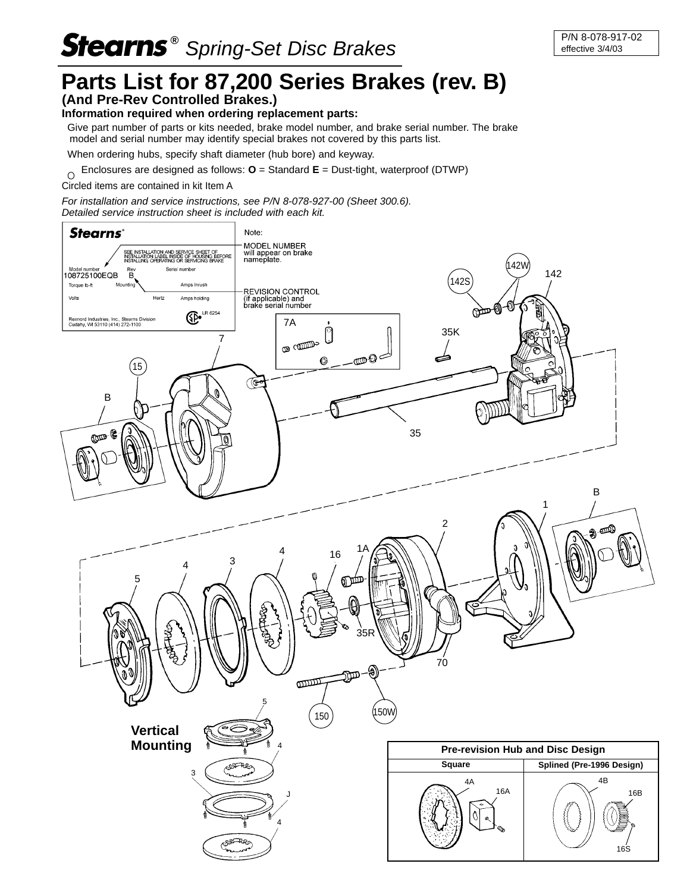## **Stearns**<sup>®</sup> Spring-Set Disc Brakes **P/N 8-078-917-02**

## **Parts List for 87,200 Series Brakes (rev. B)**

## **(And Pre-Rev Controlled Brakes.)**

## **Information required when ordering replacement parts:**

 Give part number of parts or kits needed, brake model number, and brake serial number. The brake model and serial number may identify special brakes not covered by this parts list.

When ordering hubs, specify shaft diameter (hub bore) and keyway.

 Enclosures are designed as follows: **O** = Standard **E** = Dust-tight, waterproof (DTWP)  $\overline{O}$ 

Circled items are contained in kit Item A

For installation and service instructions, see P/N 8-078-927-00 (Sheet 300.6). Detailed service instruction sheet is included with each kit.

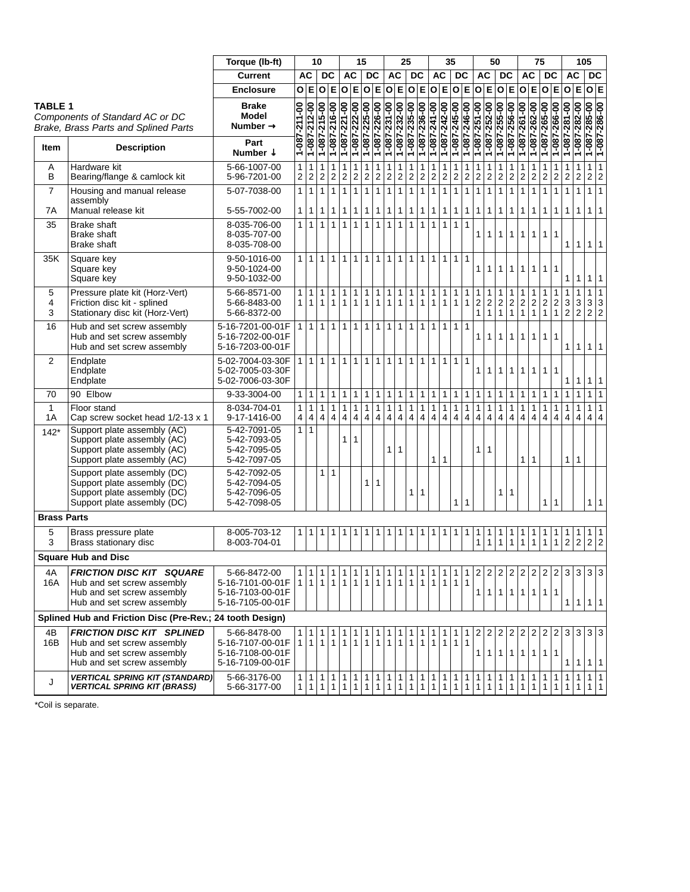|                     |                                                                                                                            | Torque (lb-ft)                                                           |                              |                              | 10                             |                                | 15                             |                                |                                |                                | 25                             |                                         | 35                             |                                |                                | 50                                      |                                |                                |                | 75                                |                                |                                         |                                         | 105                                        |                                            |                                            |                                                |                              |                              |                             |
|---------------------|----------------------------------------------------------------------------------------------------------------------------|--------------------------------------------------------------------------|------------------------------|------------------------------|--------------------------------|--------------------------------|--------------------------------|--------------------------------|--------------------------------|--------------------------------|--------------------------------|-----------------------------------------|--------------------------------|--------------------------------|--------------------------------|-----------------------------------------|--------------------------------|--------------------------------|----------------|-----------------------------------|--------------------------------|-----------------------------------------|-----------------------------------------|--------------------------------------------|--------------------------------------------|--------------------------------------------|------------------------------------------------|------------------------------|------------------------------|-----------------------------|
|                     |                                                                                                                            | <b>Current</b>                                                           |                              | <b>AC</b>                    |                                | DC                             |                                | <b>AC</b>                      |                                | <b>DC</b>                      | AC<br><b>DC</b>                |                                         | AC                             |                                |                                | <b>DC</b>                               | AC                             |                                | DC             |                                   | <b>AC</b>                      |                                         |                                         | <b>DC</b>                                  |                                            | <b>AC</b>                                  |                                                | <b>DC</b>                    |                              |                             |
|                     |                                                                                                                            | <b>Enclosure</b>                                                         |                              | O E                          | O                              | $\mathsf E$                    |                                | 0 E                            |                                |                                |                                | O E O E                                 |                                | O E O E                        |                                |                                         |                                | O E                            | 0 E            |                                   | 0 E                            |                                         | 0 E                                     |                                            | 0 E                                        |                                            | 0 E                                            |                              | 0 E                          |                             |
| <b>TABLE 1</b>      | Components of Standard AC or DC<br>Brake, Brass Parts and Splined Parts                                                    | <b>Brake</b><br>Model<br>Number $\rightarrow$                            | 1-087-211-00                 | 1-087-212-00                 | 1-087-215-00                   | 1-087-216-00                   | 1-087-221-00                   | 1-087-222-00                   | 1-087-225-00                   | 1-087-226-00                   | 1-087-231-00                   | 1-087-232-00                            | 1-087-235-00                   | 1-087-236-00                   | 1-087-241-00                   | 1-087-242-00                            | 1-087-245-00                   | 1-087-246-00                   | 1-087-251-00   | 1-087-252-00                      | 1-087-255-00                   | 1-087-256-00                            | 1-087-261-00                            | 1-087-262-00                               | 1-087-265-00                               | 1-087-266-00                               | 1-087-281-00                                   | 1-087-282-00                 | 1-087-285-00<br>1-087-286-00 |                             |
| <b>Item</b>         | <b>Description</b>                                                                                                         | Part<br>Number $\downarrow$                                              |                              |                              |                                |                                |                                |                                |                                |                                |                                |                                         |                                |                                |                                |                                         |                                |                                |                |                                   |                                |                                         |                                         |                                            |                                            |                                            |                                                |                              |                              |                             |
| $\overline{A}$<br>B | Hardware kit<br>Bearing/flange & camlock kit                                                                               | 5-66-1007-00<br>5-96-7201-00                                             | $\mathbf{1}$<br>2            | 1<br>$\sqrt{2}$              | 1<br>$\overline{2}$            | $\mathbf{1}$<br>$\sqrt{2}$     | $\mathbf{1}$<br>$\overline{2}$ | $\mathbf{1}$<br>$\overline{2}$ | 1<br>2                         | 1<br>2                         | 1<br>$\boldsymbol{2}$          | 1<br>$\boldsymbol{2}$                   | $\mathbf{1}$<br>$\overline{2}$ | 1<br>$\overline{c}$            | $\mathbf{1}$<br>$\vert$ 2      | 1<br>$\sqrt{2}$                         | 1<br>$\sqrt{2}$                | 1<br>$\boldsymbol{2}$          | 1<br>2         | 1<br>$\overline{2}$               | 1<br>$\sqrt{2}$                | $\mathbf{1}$<br>$\overline{\mathbf{c}}$ | $\boldsymbol{2}$                        | 1<br>$\overline{2}$                        | $\overline{2}$                             | $\mathbf{1}$<br>$\sqrt{2}$                 | $\mathbf 2$                                    | 1<br>$\overline{\mathbf{c}}$ | 1<br>$\overline{c}$          | $\mathbf{1}$<br>$\mathbf 2$ |
| $\overline{7}$      | Housing and manual release<br>assembly                                                                                     | 5-07-7038-00                                                             | $\mathbf{1}$                 | $\mathbf{1}$                 | 1                              | $\mathbf{1}$                   | $\mathbf{1}$                   | $\mathbf{1}$                   | $\mathbf{1}$                   | $\mathbf{1}$                   | $\mathbf{1}$                   | $\mathbf{1}$                            | $\mathbf{1}$                   | $\mathbf{1}$                   | $\mathbf{1}$                   | $\mathbf{1}$                            | $\mathbf{1}$                   | $\mathbf{1}$                   | 1              | $\mathbf{1}$                      | $\mathbf{1}$                   | $\mathbf{1}$                            | $\mathbf{1}$                            | $\mathbf{1}$                               | $\mathbf{1}$                               | $\mathbf{1}$                               | $\mathbf{1}$                                   | $\mathbf{1}$                 | 1 <sup>1</sup>               | $\mathbf{1}$                |
| 7A<br>35            | Manual release kit<br><b>Brake shaft</b>                                                                                   | 5-55-7002-00<br>8-035-706-00                                             | $\mathbf{1}$<br>$\mathbf{1}$ | $\mathbf{1}$<br>$\mathbf{1}$ | $\mathbf{1}$<br>$\mathbf{1}$   | 1<br>$\mathbf{1}$              | $\mathbf{1}$<br>$\mathbf{1}$   | $\mathbf{1}$<br>$\mathbf{1}$   | 1<br>$\mathbf{1}$              | 1<br>$\mathbf{1}$              | 1<br>$\mathbf{1}$              | 1<br>$\mathbf{1}$                       | 1<br>$\mathbf{1}$              | 1<br>$\mathbf{1}$              | 1<br>$\mathbf{1}$              | $\mathbf{1}$<br>$\mathbf{1}$            | $\mathbf{1}$<br>$\mathbf{1}$   | $\mathbf{1}$<br>$\mathbf{1}$   | 1              | 1                                 | $\mathbf{1}$                   | $\mathbf{1}$                            | 1                                       | 1                                          | 1                                          | $\mathbf{1}$                               | $\mathbf{1}$                                   | 1                            | 1 <sup>1</sup>               | $\mathbf{1}$                |
|                     | <b>Brake shaft</b><br><b>Brake shaft</b>                                                                                   | 8-035-707-00<br>8-035-708-00                                             |                              |                              |                                |                                |                                |                                |                                |                                |                                |                                         |                                |                                |                                |                                         |                                |                                | 1              | 1                                 | 1 <sup>1</sup>                 | $\mathbf{1}$                            | $\mathbf{1}$                            | $\mathbf{1}$                               | $\mathbf{1}$                               | $\mathbf{1}$                               | $\mathbf{1}$                                   | 1                            | 1 1                          |                             |
| 35K                 | Square key<br>Square key<br>Square key                                                                                     | 9-50-1016-00<br>9-50-1024-00<br>9-50-1032-00                             | 1                            | $\mathbf{1}$                 | 1                              | $\mathbf{1}$                   | 1                              | 1 <sup>1</sup>                 | $\mathbf{1}$                   | 1 <sup>1</sup>                 | $\mathbf{1}$                   | $\mathbf{1}$                            | $\vert$ 1                      | $\mathbf{1}$                   | $\mathbf{1}$                   | $\mathbf{1}$                            | 1 1                            |                                | $\mathbf{1}$   | 1                                 | $\mathbf{1}$                   | $\mathbf{1}$                            | $\mathbf{1}$                            | 1                                          | $\mathbf{1}$                               |                                            | 1                                              | 1                            | 1                            | $\mathbf{1}$                |
| 5<br>4<br>3         | Pressure plate kit (Horz-Vert)<br>Friction disc kit - splined<br>Stationary disc kit (Horz-Vert)                           | 5-66-8571-00<br>5-66-8483-00<br>5-66-8372-00                             | 1<br>$\mathbf{1}$            | $\mathbf{1}$<br>$\mathbf{1}$ | 1<br>$\mathbf{1}$              | $\mathbf{1}$<br>$\mathbf{1}$   | $\mathbf{1}$<br>$\mathbf{1}$   | $\mathbf{1}$<br>$\mathbf{1}$   | $\mathbf{1}$<br>$\mathbf{1}$   | $\mathbf{1}$<br>$\mathbf{1}$   | $\mathbf{1}$<br>1              | $\mathbf{1}$<br>$\mathbf{1}$            | $\mathbf{1}$<br>1              | $\mathbf{1}$<br>$\mathbf{1}$   | $\mathbf{1}$<br>$\mathbf{1}$   | $\mathbf{1}$<br>$\mathbf{1}$            | $\mathbf{1}$<br>$\mathbf{1}$   | $\mathbf{1}$<br>$\mathbf{1}$   | 1<br>1         | 1<br>1                            | 1<br>2 2 2<br>$\mathbf{1}$     | 1<br>$\boldsymbol{2}$<br>$\mathbf{1}$   | 1<br>$\boldsymbol{2}$<br>$\mathbf{1}$   | $\mathbf{1}$<br>$\sqrt{2}$<br>$\mathbf{1}$ | $\mathbf{1}$<br>$\sqrt{2}$<br>$\mathbf{1}$ | $\mathbf{1}$<br>$\sqrt{2}$<br>$\mathbf{1}$ | $\mathbf{1}$<br>$\mathbf{3}$<br>$\overline{2}$ | 1<br>$\frac{3}{2}$           | 1<br>3 3<br>2                | $\vert$ 1<br>$\overline{2}$ |
| 16                  | Hub and set screw assembly<br>Hub and set screw assembly<br>Hub and set screw assembly                                     | 5-16-7201-00-01F<br>5-16-7202-00-01F<br>5-16-7203-00-01F                 | 1 <sup>1</sup>               | $\vert$ 1                    | $\mathbf{1}$                   | $\mathbf{1}$                   | 1                              | 1                              | $\mathbf{1}$                   | 1                              | $\mathbf{1}$                   | $\mathbf{1}$                            | l 1                            | $\mathbf{1}$                   | $\mathbf{1}$                   | $\mathbf{1}$                            | 1 1                            |                                | 1 <sup>1</sup> | 1                                 | 1                              | $\mathbf{1}$                            | $\mathbf{1}$                            | 1                                          | $\mathbf{1}$                               | $\mathbf{1}$                               | $\mathbf{1}$                                   | 1                            | 1 1                          |                             |
| 2                   | Endplate<br>Endplate<br>Endplate                                                                                           | 5-02-7004-03-30F<br>5-02-7005-03-30F<br>5-02-7006-03-30F                 | 1                            | $\mathbf{1}$                 | $\mathbf{1}$                   | 1 <sup>1</sup>                 | 1 <sup>1</sup>                 |                                | 1 1                            | 1                              | $\vert$ 1                      | 1 1                                     |                                | $\overline{1}$                 | $\overline{1}$                 | $\mathbf{1}$                            | 1 1                            |                                | 1 <sup>1</sup> | 1                                 | 1 <sup>1</sup>                 | $\mathbf{1}$                            | $\mathbf{1}$                            | $\mathbf{1}$                               | $\mathbf{1}$                               | $\mathbf{1}$                               | $\mathbf{1}$                                   | 1 <sup>1</sup>               | 1 1                          |                             |
| 70                  | 90 Elbow                                                                                                                   | 9-33-3004-00                                                             | 1                            | $\mathbf{1}$                 | 1                              | $\mathbf{1}$                   | $\mathbf{1}$                   | $\mathbf{1}$                   | 1                              | $\mathbf{1}$                   | $\mathbf{1}$                   | $\mathbf{1}$                            | $\overline{1}$                 | $\mathbf{1}$                   | $\mathbf{1}$                   | $\mathbf{1}$                            | 1 1                            |                                | 1              | 1                                 | $\mathbf{1}$                   | $\mathbf{1}$                            | 1                                       | $\mathbf{1}$                               | $\mathbf{1}$                               | 1                                          | $\mathbf{1}$                                   | 1                            | 1                            | $\mathbf{1}$                |
| $\mathbf{1}$<br>1A  | Floor stand<br>Cap screw socket head 1/2-13 x 1                                                                            | 8-034-704-01<br>9-17-1416-00                                             | $\mathbf{1}$<br>4            | $\mathbf{1}$<br>4            | $\mathbf{1}$<br>$\overline{4}$ | $\mathbf{1}$<br>$\overline{4}$ | $\mathbf{1}$<br>$\overline{4}$ | $\mathbf{1}$<br>$\overline{4}$ | $\mathbf{1}$<br>$\overline{4}$ | $\mathbf{1}$<br>$\overline{4}$ | $\mathbf{1}$<br>$\overline{4}$ | $\mathbf{1}$<br>$\overline{\mathbf{4}}$ | $\mathbf{1}$<br>$\overline{4}$ | $\mathbf{1}$<br>$\overline{4}$ | $\mathbf{1}$<br>$\overline{4}$ | $\mathbf{1}$<br>$\overline{\mathbf{4}}$ | $\mathbf{1}$<br>$\overline{4}$ | $\mathbf{1}$<br>$\overline{4}$ | $\overline{4}$ | $1\overline{1}$<br>$\overline{4}$ | $\mathbf{1}$<br>$\overline{4}$ | $\mathbf{1}$<br>$\overline{4}$          | $\mathbf{1}$<br>$\overline{\mathbf{4}}$ | $\mathbf{1}$<br>4                          | $\mathbf{1}$<br>$\overline{4}$             | 1<br>$\overline{4}$                        | $\mathbf{1}$<br>$\overline{4}$                 | $\mathbf{1}$<br>4            | 1<br>4 4                     | $\mathbf{1}$                |
| $142*$              | Support plate assembly (AC)<br>Support plate assembly (AC)<br>Support plate assembly (AC)<br>Support plate assembly (AC)   | 5-42-7091-05<br>5-42-7093-05<br>5-42-7095-05<br>5-42-7097-05             |                              | 1 1                          |                                |                                | $\mathbf{1}$                   | 1                              |                                |                                | 1                              | 1                                       |                                |                                | 1                              | $\mathbf{1}$                            |                                |                                | 1              | 1                                 |                                |                                         | 1                                       | $\mathbf{1}$                               |                                            |                                            | $\mathbf{1}$                                   | 1                            |                              |                             |
|                     | Support plate assembly (DC)<br>Support plate assembly (DC)<br>Support plate assembly (DC)<br>Support plate assembly (DC)   | 5-42-7092-05<br>5-42-7094-05<br>5-42-7096-05<br>5-42-7098-05             |                              |                              | 1                              | $\mathbf{1}$                   |                                |                                | 1 <sup>1</sup>                 | 1                              |                                |                                         | $\mathbf{1}$                   | 1                              |                                |                                         | $\mathbf{1}$                   | $\mathbf{1}$                   |                |                                   | 1                              | $\mathbf{1}$                            |                                         |                                            | 1                                          | $\mathbf{1}$                               |                                                |                              | 1 1                          |                             |
| <b>Brass Parts</b>  |                                                                                                                            |                                                                          |                              |                              |                                |                                |                                |                                |                                |                                |                                |                                         |                                |                                |                                |                                         |                                |                                |                |                                   |                                |                                         |                                         |                                            |                                            |                                            |                                                |                              |                              |                             |
| 5<br>3              | Brass pressure plate<br>Brass stationary disc                                                                              | 8-005-703-12<br>8-003-704-01                                             | 1 <sup>1</sup>               | $\mathbf 1$                  | 1                              | 1                              | 1                              | 1                              | 1                              | 1                              | 1                              | 1                                       | 1                              | 1                              | 1                              | 1                                       | 1                              | 1                              | 1<br>1         | 1<br>$\mathbf 1$                  | 1<br>$\mathbf{1}$              | 1<br>$\mathbf{1}$                       | $\mathbf{1}$                            | 1<br>$\mathbf{1}$                          | 1<br>$\mathbf{1}$                          | 1<br>$\mathbf{1}$                          | 1<br>$\overline{2}$                            | $\overline{2}$               | $\mathbf{1}$<br>2 2          | $\mathbf{1}$                |
|                     | <b>Square Hub and Disc</b>                                                                                                 |                                                                          |                              |                              |                                |                                |                                |                                |                                |                                |                                |                                         |                                |                                |                                |                                         |                                |                                |                |                                   |                                |                                         |                                         |                                            |                                            |                                            |                                                |                              |                              |                             |
| 4A<br>16A           | <b>FRICTION DISC KIT SQUARE</b><br>Hub and set screw assembly<br>Hub and set screw assembly<br>Hub and set screw assembly  | 5-66-8472-00<br>5-16-7101-00-01F<br>5-16-7103-00-01F<br>5-16-7105-00-01F | $\mathbf{1}$                 | 1                            | $\mathbf{1}$                   | $\mathbf{1}$                   | $\mathbf{1}$                   | $\mathbf{1}$                   | $\mathbf{1}$                   | $\mathbf{1}$                   | $\mathbf{1}$                   | $\mathbf{1}$                            | $\mathbf{1}$                   | $\mathbf{1}$                   | $\mathbf{1}$                   | $\mathbf{1}$                            | 1<br>$\mathbf{1}$              | 1<br>$\mathbf{1}$              | 2<br>1         | $\overline{2}$                    | $\overline{c}$<br>1 1 1        | $\overline{2}$                          | 2<br>$\mathbf{1}$                       | 2<br>$\mathbf{1}$                          | $\overline{2}$<br>$\mathbf{1}$             | $\overline{2}$<br>$\mathbf{1}$             | 3<br>$\mathbf{1}$                              | 3<br>1                       | 3 3<br>$1 \mid 1$            |                             |
|                     | Splined Hub and Friction Disc (Pre-Rev.; 24 tooth Design)                                                                  |                                                                          |                              |                              |                                |                                |                                |                                |                                |                                |                                |                                         |                                |                                |                                |                                         |                                |                                |                |                                   |                                |                                         |                                         |                                            |                                            |                                            |                                                |                              |                              |                             |
| 4B<br>16B           | <b>FRICTION DISC KIT SPLINED</b><br>Hub and set screw assembly<br>Hub and set screw assembly<br>Hub and set screw assembly | 5-66-8478-00<br>5-16-7107-00-01F<br>5-16-7108-00-01F<br>5-16-7109-00-01F | 1.                           | $\mathbf{1}$                 | $\mathbf{1}$                   | $\mathbf{1}$                   | 1                              | $\mathbf{1}$                   | $\mathbf{1}$                   | $\mathbf{1}$                   | 1                              | $\mathbf{1}$                            | 1                              | $\mathbf{1}$                   | $\mathbf{1}$                   | $\overline{1}$                          | $\mathbf{1}$                   | 1<br>$\mathbf{1}$              | 1              | 2 2<br>$\mathbf{1}$               | $\overline{2}$<br>1            | 2<br>$\mathbf{1}$                       | 2<br>$\mathbf{1}$                       | $\overline{2}$<br>$\mathbf{1}$             | 2 <br>$\mathbf{1}$                         | $\mathbf{1}$                               | $\mathbf{1}$                                   | 2 3 3 3 3<br>1               | 1 1                          |                             |
| J                   | <b>VERTICAL SPRING KIT (STANDARD)</b><br><b>VERTICAL SPRING KIT (BRASS)</b>                                                | 5-66-3176-00<br>5-66-3177-00                                             |                              | 1<br>$\mathbf{1}$            | 1<br>1                         | 1                              | $\mathbf{1}$                   |                                | 1 1 <br>1                      | 1 <sup>1</sup>                 | $\mathbf{1}$                   | $\mathbf{1}$<br>1                       | 1                              | $\mathbf{1}$<br>1              | $\vert$ 1<br>1                 | $\mathbf{1}$<br>1                       | $\mathbf{1}$                   | $\mathbf{1}$<br>1              | 1 <br>1        | $\vert$ 1                         | $\mathbf{1}$<br>1              | $\mathbf{1}$                            | 1                                       | 1                                          | 1                                          | $\mathbf{1}$                               | $\mathbf{1}$                                   | 1                            | 1 1<br>$1 \mid 1$            |                             |

\*Coil is separate.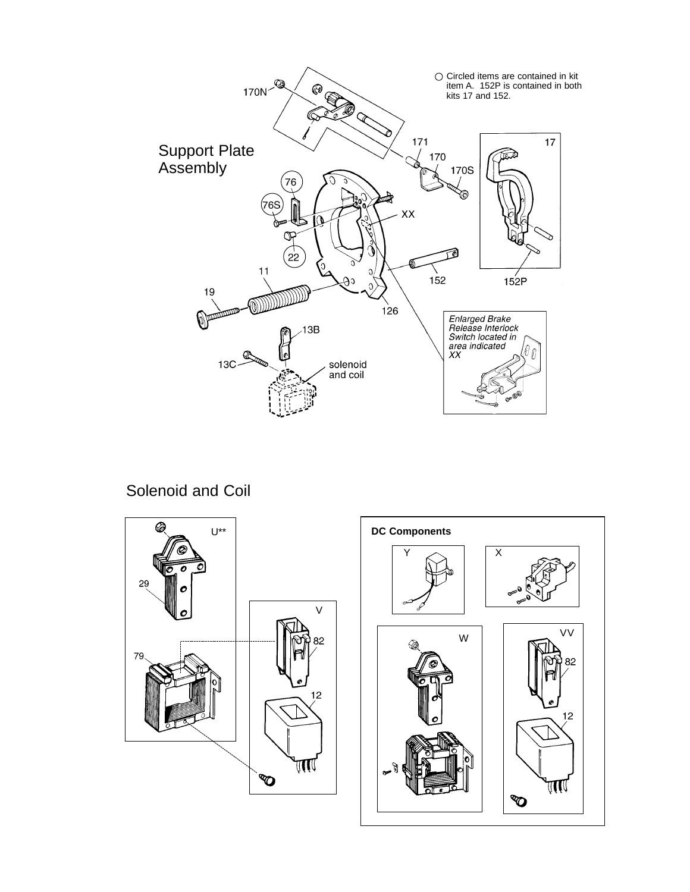

Solenoid and Coil